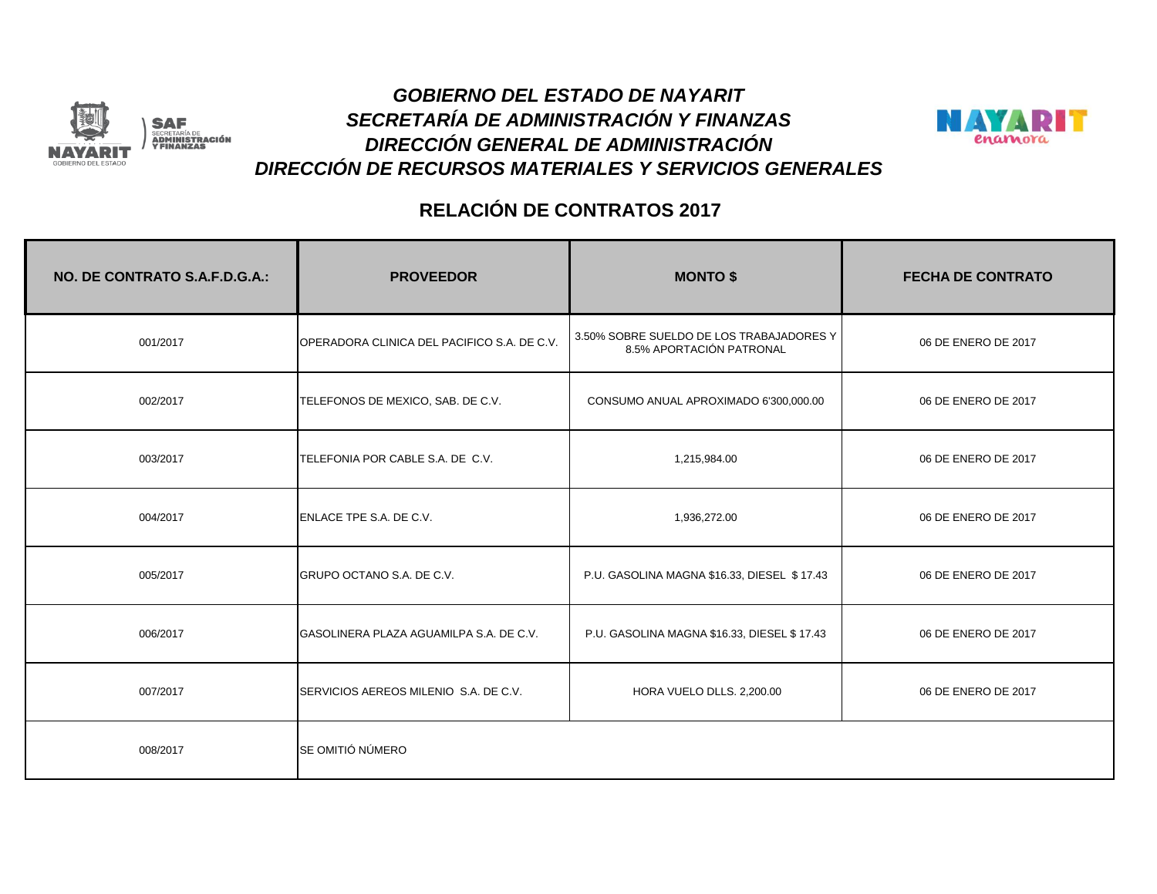

#### *SECRETARÍA DE ADMINISTRACIÓN Y FINANZAS GOBIERNO DEL ESTADO DE NAYARIT DIRECCIÓN GENERAL DE ADMINISTRACIÓN DIRECCIÓN DE RECURSOS MATERIALES Y SERVICIOS GENERALES*



| NO. DE CONTRATO S.A.F.D.G.A.: | <b>PROVEEDOR</b>                            | <b>MONTO \$</b>                                                      | <b>FECHA DE CONTRATO</b> |
|-------------------------------|---------------------------------------------|----------------------------------------------------------------------|--------------------------|
| 001/2017                      | OPERADORA CLINICA DEL PACIFICO S.A. DE C.V. | 3.50% SOBRE SUELDO DE LOS TRABAJADORES Y<br>8.5% APORTACIÓN PATRONAL | 06 DE ENERO DE 2017      |
| 002/2017                      | TELEFONOS DE MEXICO, SAB. DE C.V.           | CONSUMO ANUAL APROXIMADO 6'300,000.00                                | 06 DE ENERO DE 2017      |
| 003/2017                      | TELEFONIA POR CABLE S.A. DE C.V.            | 1,215,984.00                                                         | 06 DE ENERO DE 2017      |
| 004/2017                      | ENLACE TPE S.A. DE C.V.                     | 1,936,272.00                                                         | 06 DE ENERO DE 2017      |
| 005/2017                      | GRUPO OCTANO S.A. DE C.V.                   | P.U. GASOLINA MAGNA \$16.33, DIESEL \$17.43                          | 06 DE ENERO DE 2017      |
| 006/2017                      | GASOLINERA PLAZA AGUAMILPA S.A. DE C.V.     | P.U. GASOLINA MAGNA \$16.33, DIESEL \$17.43                          | 06 DE ENERO DE 2017      |
| 007/2017                      | SERVICIOS AEREOS MILENIO S.A. DE C.V.       | HORA VUELO DLLS. 2,200.00                                            | 06 DE ENERO DE 2017      |
| 008/2017                      | SE OMITIÓ NÚMERO                            |                                                                      |                          |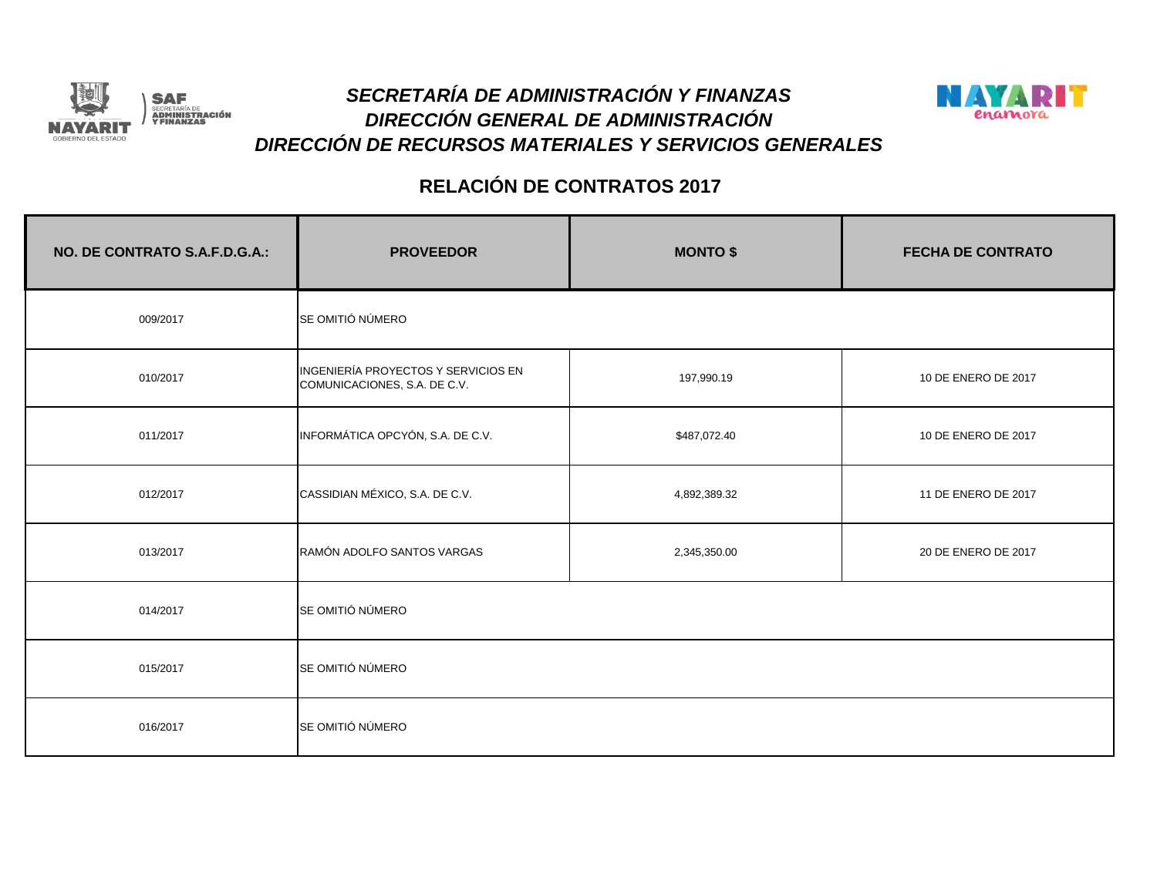



| NO. DE CONTRATO S.A.F.D.G.A.: | <b>PROVEEDOR</b>                                                    | <b>MONTO \$</b> | <b>FECHA DE CONTRATO</b> |
|-------------------------------|---------------------------------------------------------------------|-----------------|--------------------------|
| 009/2017                      | SE OMITIÓ NÚMERO                                                    |                 |                          |
| 010/2017                      | INGENIERÍA PROYECTOS Y SERVICIOS EN<br>COMUNICACIONES, S.A. DE C.V. | 197,990.19      | 10 DE ENERO DE 2017      |
| 011/2017                      | INFORMÁTICA OPCYÓN, S.A. DE C.V.                                    | \$487,072.40    | 10 DE ENERO DE 2017      |
| 012/2017                      | CASSIDIAN MÉXICO, S.A. DE C.V.                                      | 4,892,389.32    | 11 DE ENERO DE 2017      |
| 013/2017                      | RAMÓN ADOLFO SANTOS VARGAS                                          | 2,345,350.00    | 20 DE ENERO DE 2017      |
| 014/2017                      | SE OMITIÓ NÚMERO                                                    |                 |                          |
| 015/2017                      | SE OMITIÓ NÚMERO                                                    |                 |                          |
| 016/2017                      | SE OMITIÓ NÚMERO                                                    |                 |                          |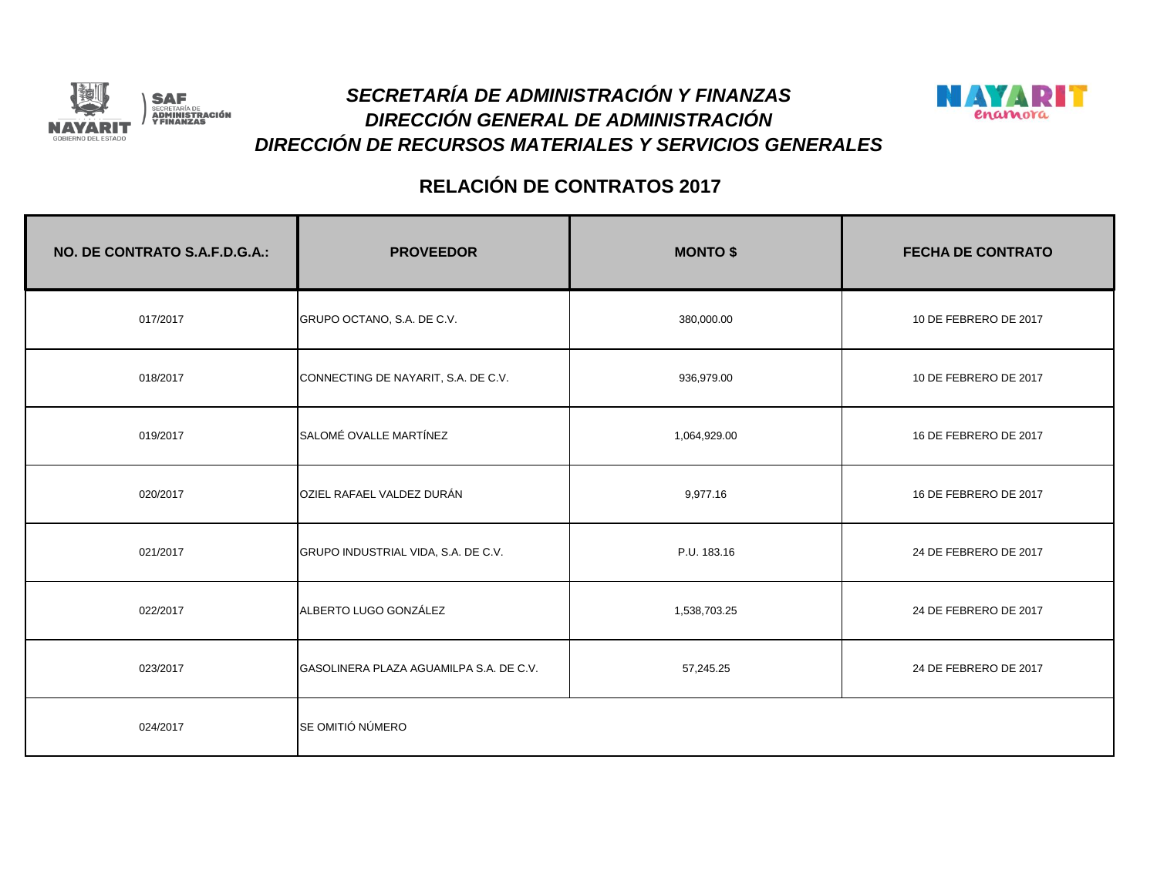



| NO. DE CONTRATO S.A.F.D.G.A.: | <b>PROVEEDOR</b>                        | <b>MONTO \$</b> | <b>FECHA DE CONTRATO</b> |
|-------------------------------|-----------------------------------------|-----------------|--------------------------|
| 017/2017                      | GRUPO OCTANO, S.A. DE C.V.              | 380,000.00      | 10 DE FEBRERO DE 2017    |
| 018/2017                      | CONNECTING DE NAYARIT, S.A. DE C.V.     | 936,979.00      | 10 DE FEBRERO DE 2017    |
| 019/2017                      | SALOMÉ OVALLE MARTÍNEZ                  | 1,064,929.00    | 16 DE FEBRERO DE 2017    |
| 020/2017                      | OZIEL RAFAEL VALDEZ DURÁN               | 9,977.16        | 16 DE FEBRERO DE 2017    |
| 021/2017                      | GRUPO INDUSTRIAL VIDA, S.A. DE C.V.     | P.U. 183.16     | 24 DE FEBRERO DE 2017    |
| 022/2017                      | ALBERTO LUGO GONZÁLEZ                   | 1,538,703.25    | 24 DE FEBRERO DE 2017    |
| 023/2017                      | GASOLINERA PLAZA AGUAMILPA S.A. DE C.V. | 57,245.25       | 24 DE FEBRERO DE 2017    |
| 024/2017                      | SE OMITIÓ NÚMERO                        |                 |                          |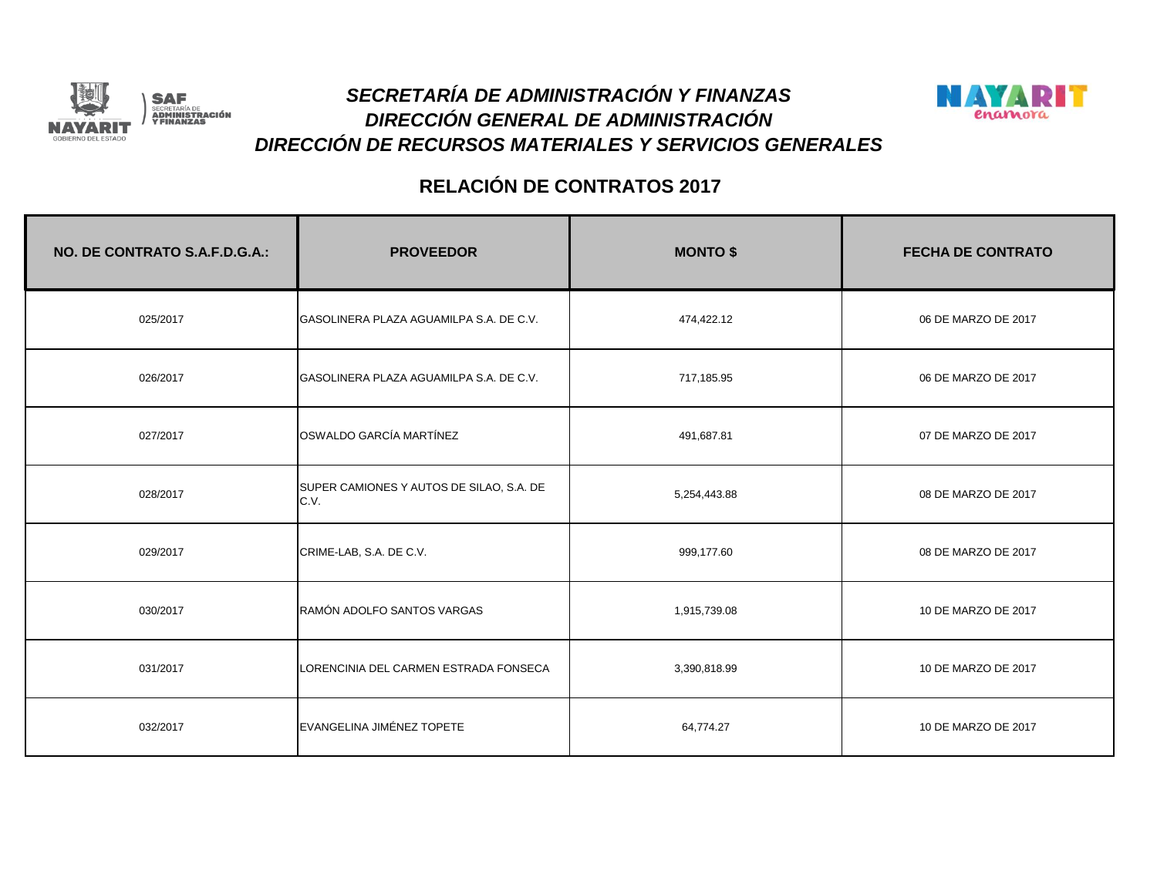



| NO. DE CONTRATO S.A.F.D.G.A.: | <b>PROVEEDOR</b>                                 | <b>MONTO \$</b> | <b>FECHA DE CONTRATO</b> |
|-------------------------------|--------------------------------------------------|-----------------|--------------------------|
| 025/2017                      | GASOLINERA PLAZA AGUAMILPA S.A. DE C.V.          | 474,422.12      | 06 DE MARZO DE 2017      |
| 026/2017                      | GASOLINERA PLAZA AGUAMILPA S.A. DE C.V.          | 717,185.95      | 06 DE MARZO DE 2017      |
| 027/2017                      | OSWALDO GARCÍA MARTÍNEZ                          | 491,687.81      | 07 DE MARZO DE 2017      |
| 028/2017                      | SUPER CAMIONES Y AUTOS DE SILAO, S.A. DE<br>C.V. | 5,254,443.88    | 08 DE MARZO DE 2017      |
| 029/2017                      | CRIME-LAB, S.A. DE C.V.                          | 999,177.60      | 08 DE MARZO DE 2017      |
| 030/2017                      | RAMÓN ADOLFO SANTOS VARGAS                       | 1,915,739.08    | 10 DE MARZO DE 2017      |
| 031/2017                      | LORENCINIA DEL CARMEN ESTRADA FONSECA            | 3,390,818.99    | 10 DE MARZO DE 2017      |
| 032/2017                      | EVANGELINA JIMÉNEZ TOPETE                        | 64,774.27       | 10 DE MARZO DE 2017      |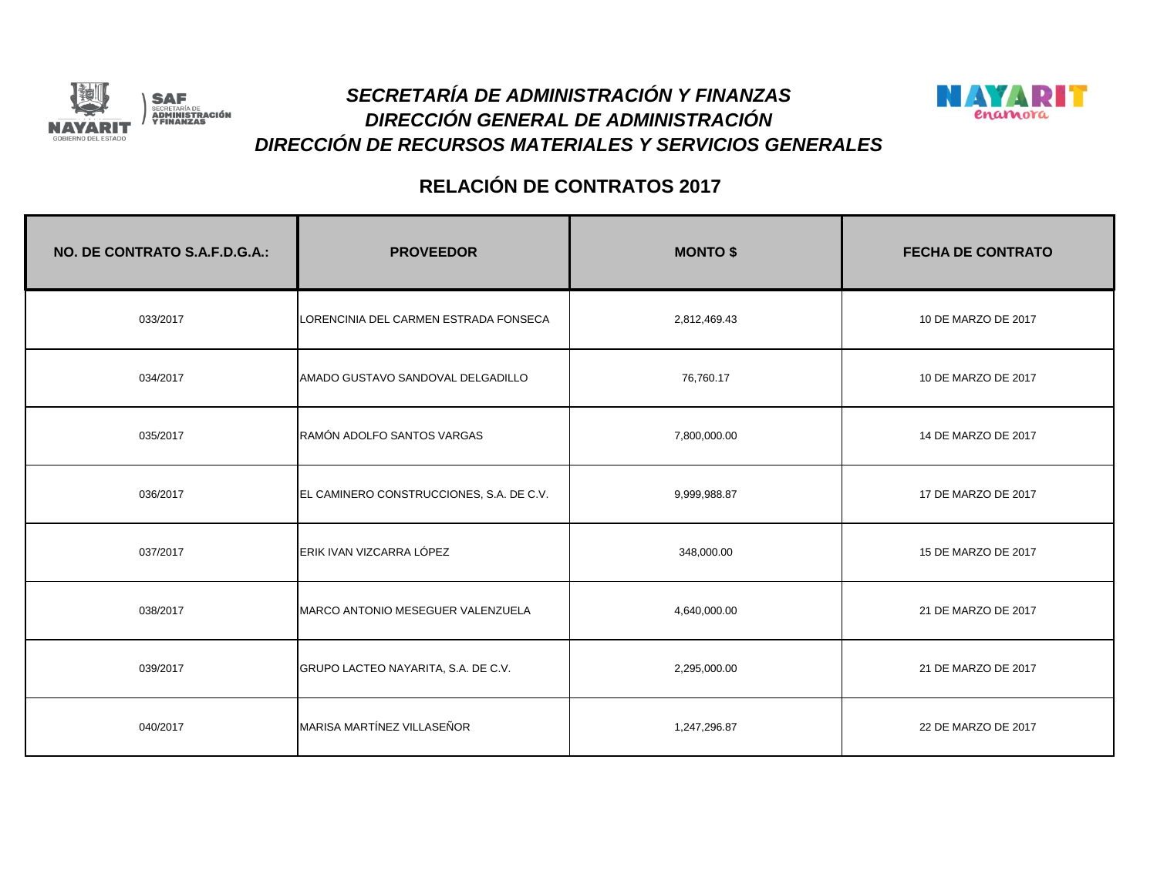



| NO. DE CONTRATO S.A.F.D.G.A.: | <b>PROVEEDOR</b>                         | <b>MONTO \$</b> | <b>FECHA DE CONTRATO</b> |
|-------------------------------|------------------------------------------|-----------------|--------------------------|
| 033/2017                      | LORENCINIA DEL CARMEN ESTRADA FONSECA    | 2,812,469.43    | 10 DE MARZO DE 2017      |
| 034/2017                      | AMADO GUSTAVO SANDOVAL DELGADILLO        | 76,760.17       | 10 DE MARZO DE 2017      |
| 035/2017                      | RAMÓN ADOLFO SANTOS VARGAS               | 7,800,000.00    | 14 DE MARZO DE 2017      |
| 036/2017                      | EL CAMINERO CONSTRUCCIONES, S.A. DE C.V. | 9,999,988.87    | 17 DE MARZO DE 2017      |
| 037/2017                      | ERIK IVAN VIZCARRA LÓPEZ                 | 348,000.00      | 15 DE MARZO DE 2017      |
| 038/2017                      | MARCO ANTONIO MESEGUER VALENZUELA        | 4,640,000.00    | 21 DE MARZO DE 2017      |
| 039/2017                      | GRUPO LACTEO NAYARITA, S.A. DE C.V.      | 2,295,000.00    | 21 DE MARZO DE 2017      |
| 040/2017                      | MARISA MARTÍNEZ VILLASEÑOR               | 1,247,296.87    | 22 DE MARZO DE 2017      |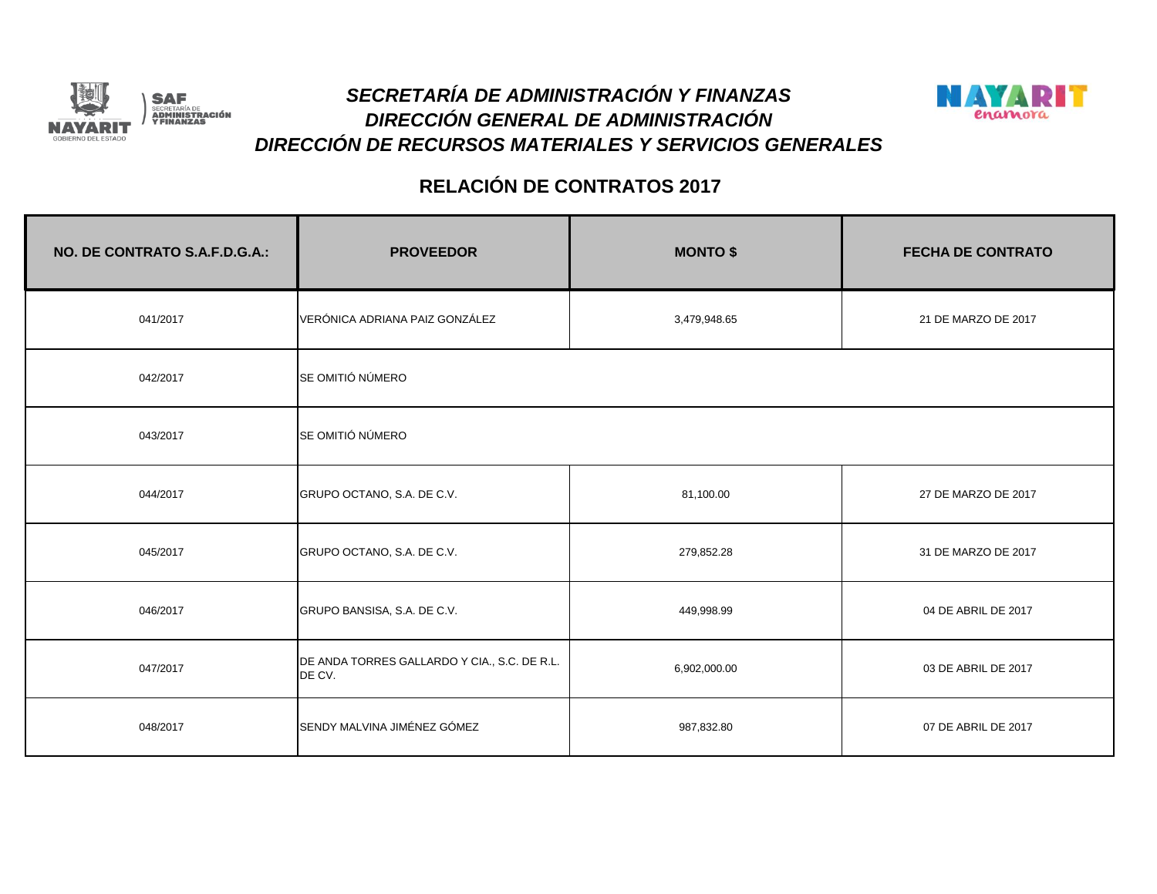



| NO. DE CONTRATO S.A.F.D.G.A.: | <b>PROVEEDOR</b>                                       | <b>MONTO \$</b> | <b>FECHA DE CONTRATO</b> |
|-------------------------------|--------------------------------------------------------|-----------------|--------------------------|
| 041/2017                      | VERÓNICA ADRIANA PAIZ GONZÁLEZ                         | 3,479,948.65    | 21 DE MARZO DE 2017      |
| 042/2017                      | SE OMITIÓ NÚMERO                                       |                 |                          |
| 043/2017                      | SE OMITIÓ NÚMERO                                       |                 |                          |
| 044/2017                      | GRUPO OCTANO, S.A. DE C.V.                             | 81,100.00       | 27 DE MARZO DE 2017      |
| 045/2017                      | GRUPO OCTANO, S.A. DE C.V.                             | 279,852.28      | 31 DE MARZO DE 2017      |
| 046/2017                      | GRUPO BANSISA, S.A. DE C.V.                            | 449,998.99      | 04 DE ABRIL DE 2017      |
| 047/2017                      | DE ANDA TORRES GALLARDO Y CIA., S.C. DE R.L.<br>DE CV. | 6,902,000.00    | 03 DE ABRIL DE 2017      |
| 048/2017                      | SENDY MALVINA JIMÉNEZ GÓMEZ                            | 987,832.80      | 07 DE ABRIL DE 2017      |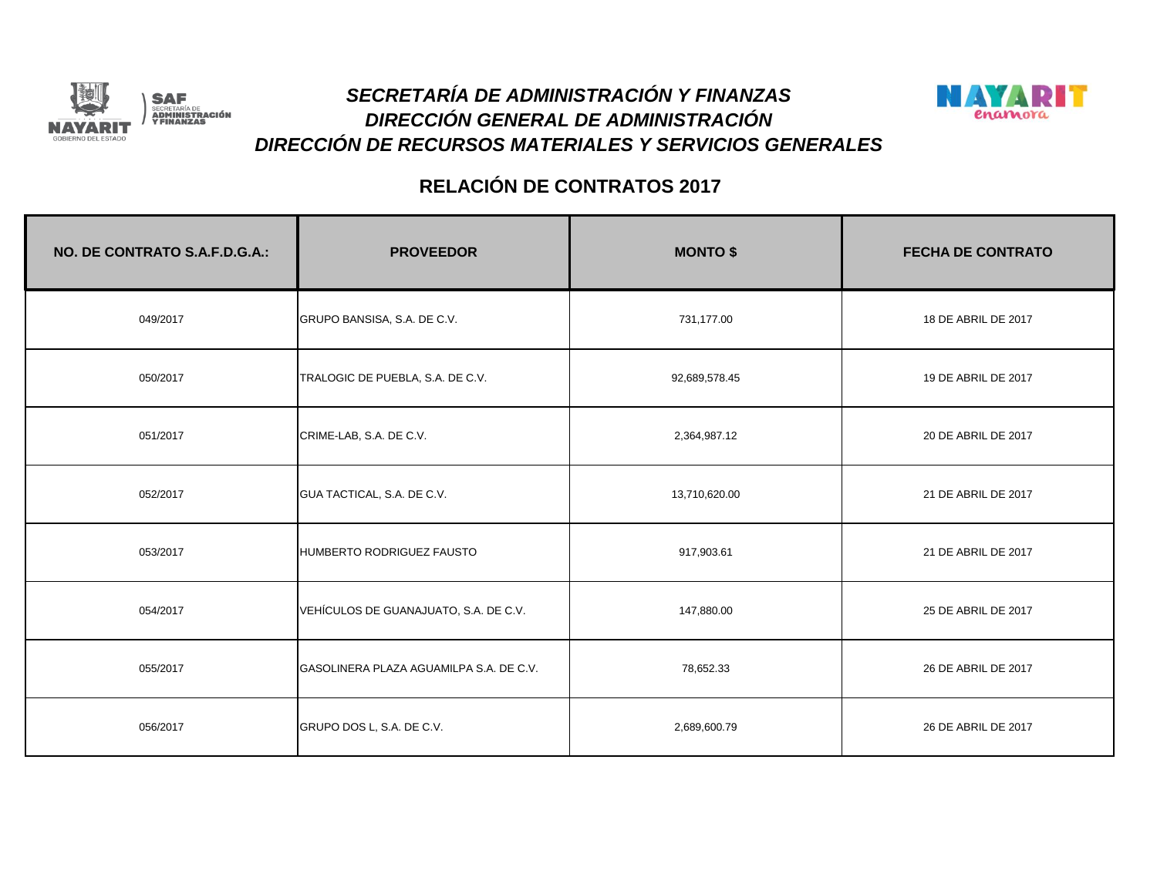



| NO. DE CONTRATO S.A.F.D.G.A.: | <b>PROVEEDOR</b>                        | <b>MONTO \$</b> | <b>FECHA DE CONTRATO</b> |
|-------------------------------|-----------------------------------------|-----------------|--------------------------|
| 049/2017                      | GRUPO BANSISA, S.A. DE C.V.             | 731,177.00      | 18 DE ABRIL DE 2017      |
| 050/2017                      | TRALOGIC DE PUEBLA, S.A. DE C.V.        | 92,689,578.45   | 19 DE ABRIL DE 2017      |
| 051/2017                      | CRIME-LAB, S.A. DE C.V.                 | 2,364,987.12    | 20 DE ABRIL DE 2017      |
| 052/2017                      | GUA TACTICAL, S.A. DE C.V.              | 13,710,620.00   | 21 DE ABRIL DE 2017      |
| 053/2017                      | HUMBERTO RODRIGUEZ FAUSTO               | 917,903.61      | 21 DE ABRIL DE 2017      |
| 054/2017                      | VEHÍCULOS DE GUANAJUATO, S.A. DE C.V.   | 147,880.00      | 25 DE ABRIL DE 2017      |
| 055/2017                      | GASOLINERA PLAZA AGUAMILPA S.A. DE C.V. | 78,652.33       | 26 DE ABRIL DE 2017      |
| 056/2017                      | GRUPO DOS L, S.A. DE C.V.               | 2,689,600.79    | 26 DE ABRIL DE 2017      |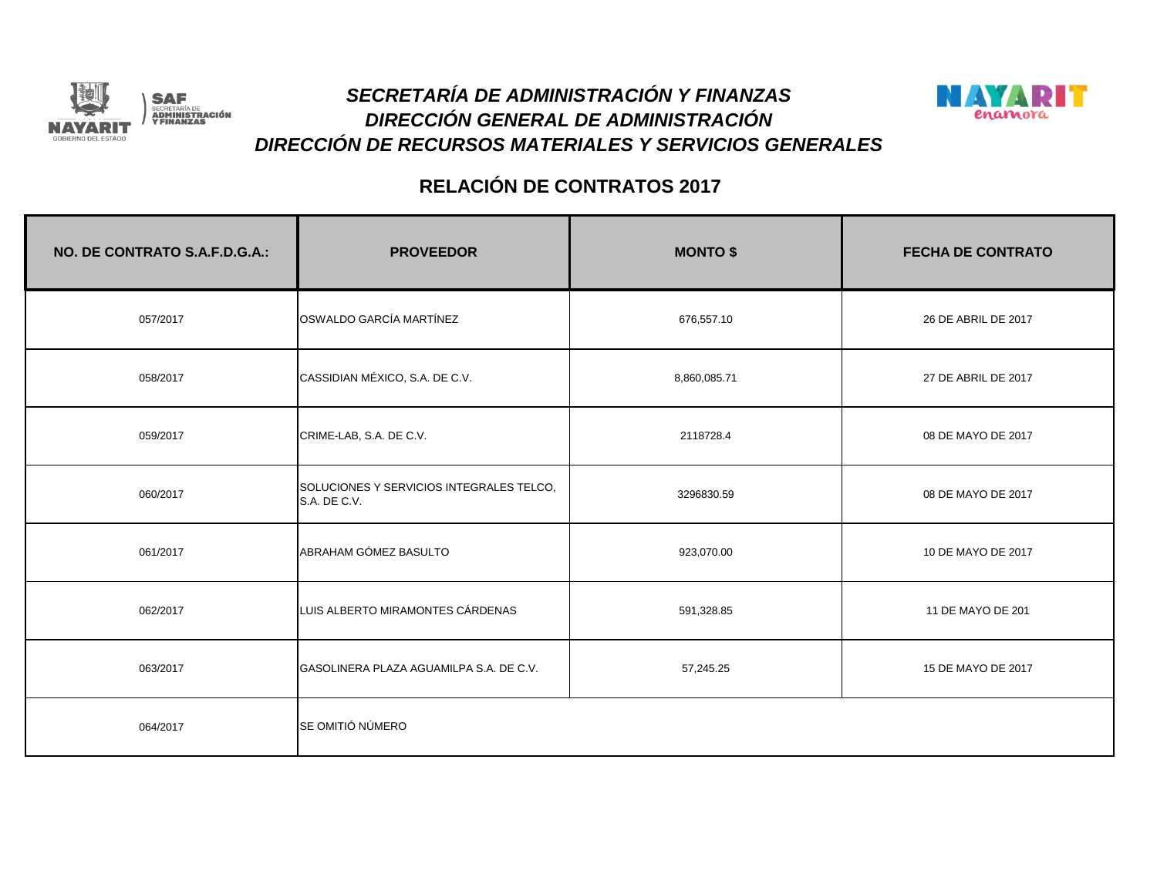



| NO. DE CONTRATO S.A.F.D.G.A.: | <b>PROVEEDOR</b>                                         | <b>MONTO \$</b> | <b>FECHA DE CONTRATO</b> |
|-------------------------------|----------------------------------------------------------|-----------------|--------------------------|
| 057/2017                      | OSWALDO GARCÍA MARTÍNEZ                                  | 676,557.10      | 26 DE ABRIL DE 2017      |
| 058/2017                      | CASSIDIAN MÉXICO, S.A. DE C.V.                           | 8,860,085.71    | 27 DE ABRIL DE 2017      |
| 059/2017                      | CRIME-LAB, S.A. DE C.V.                                  | 2118728.4       | 08 DE MAYO DE 2017       |
| 060/2017                      | SOLUCIONES Y SERVICIOS INTEGRALES TELCO,<br>S.A. DE C.V. | 3296830.59      | 08 DE MAYO DE 2017       |
| 061/2017                      | ABRAHAM GÓMEZ BASULTO                                    | 923,070.00      | 10 DE MAYO DE 2017       |
| 062/2017                      | LUIS ALBERTO MIRAMONTES CÁRDENAS                         | 591,328.85      | 11 DE MAYO DE 201        |
| 063/2017                      | GASOLINERA PLAZA AGUAMILPA S.A. DE C.V.                  | 57,245.25       | 15 DE MAYO DE 2017       |
| 064/2017                      | SE OMITIÓ NÚMERO                                         |                 |                          |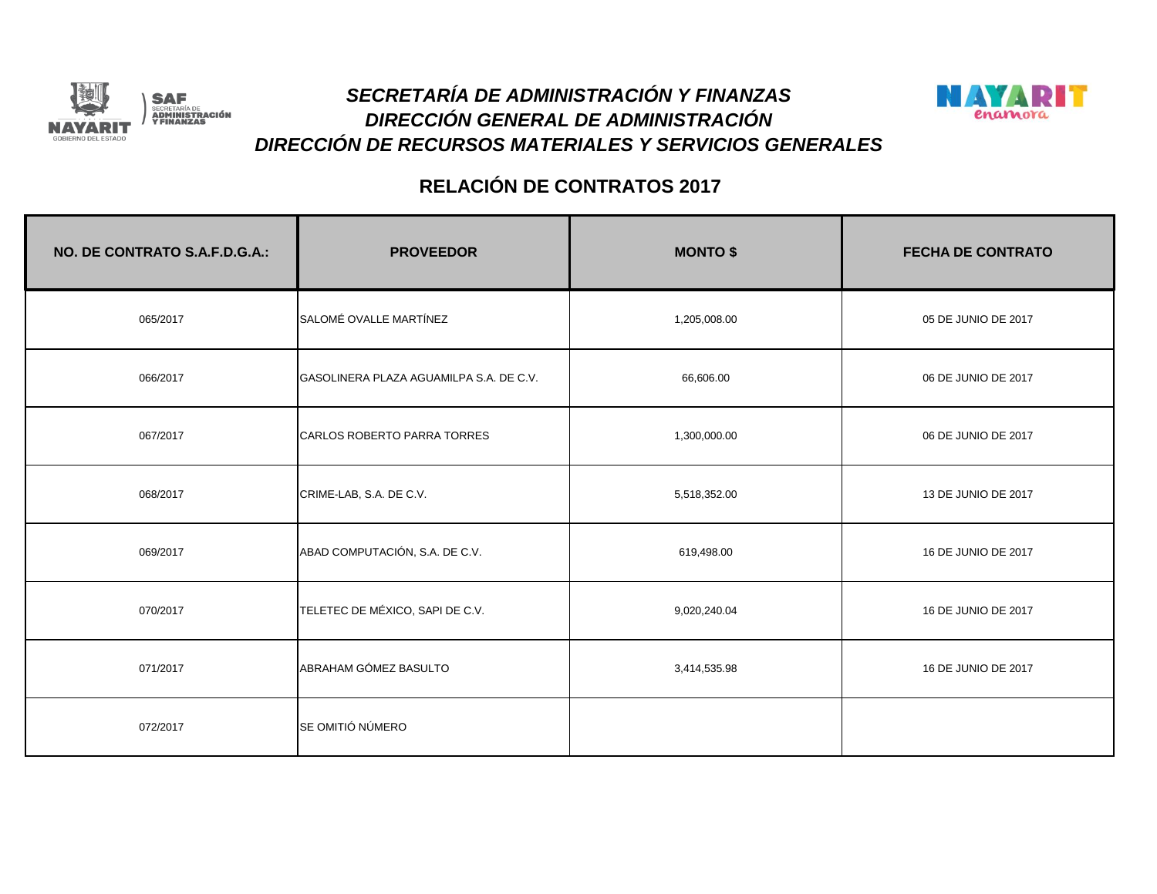



| NO. DE CONTRATO S.A.F.D.G.A.: | <b>PROVEEDOR</b>                        | <b>MONTO \$</b> | <b>FECHA DE CONTRATO</b> |
|-------------------------------|-----------------------------------------|-----------------|--------------------------|
| 065/2017                      | SALOMÉ OVALLE MARTÍNEZ                  | 1,205,008.00    | 05 DE JUNIO DE 2017      |
| 066/2017                      | GASOLINERA PLAZA AGUAMILPA S.A. DE C.V. | 66,606.00       | 06 DE JUNIO DE 2017      |
| 067/2017                      | CARLOS ROBERTO PARRA TORRES             | 1,300,000.00    | 06 DE JUNIO DE 2017      |
| 068/2017                      | CRIME-LAB, S.A. DE C.V.                 | 5,518,352.00    | 13 DE JUNIO DE 2017      |
| 069/2017                      | ABAD COMPUTACIÓN, S.A. DE C.V.          | 619,498.00      | 16 DE JUNIO DE 2017      |
| 070/2017                      | TELETEC DE MÉXICO, SAPI DE C.V.         | 9,020,240.04    | 16 DE JUNIO DE 2017      |
| 071/2017                      | ABRAHAM GÓMEZ BASULTO                   | 3,414,535.98    | 16 DE JUNIO DE 2017      |
| 072/2017                      | SE OMITIÓ NÚMERO                        |                 |                          |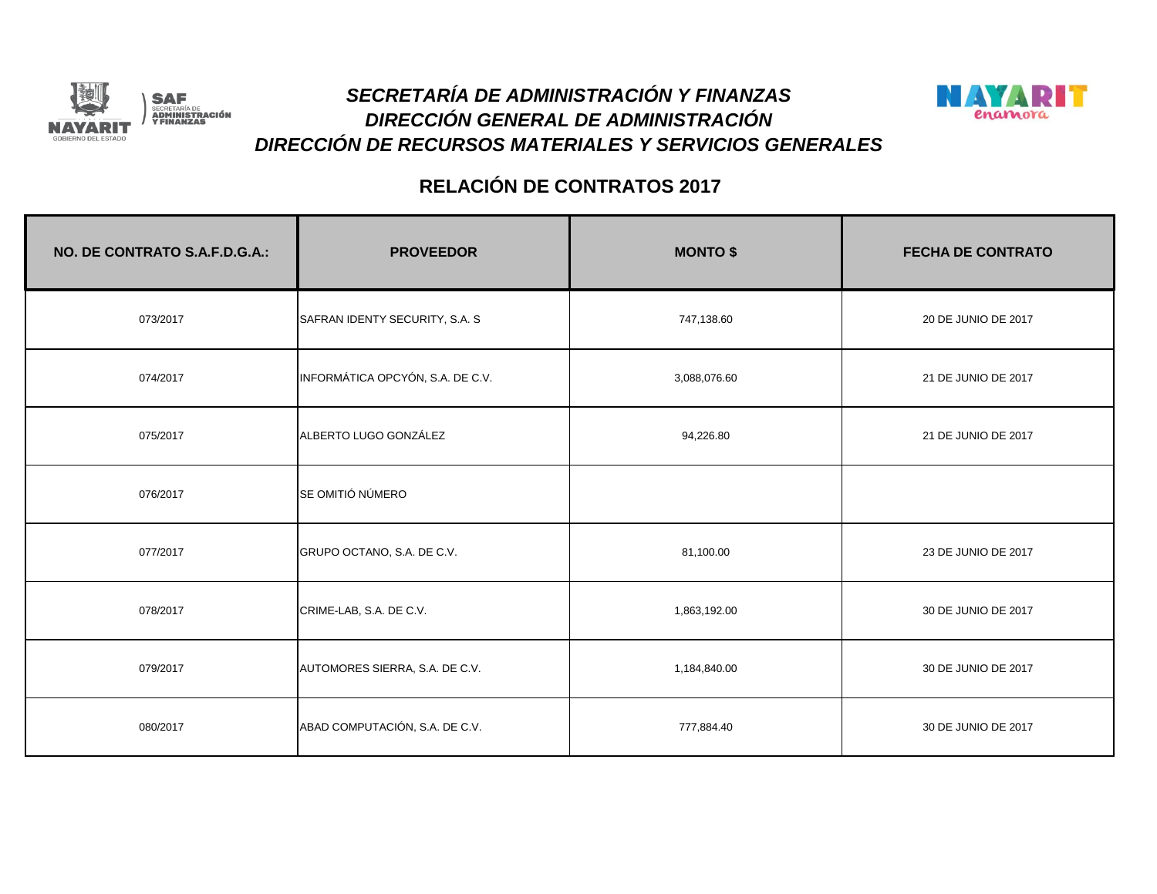



| NO. DE CONTRATO S.A.F.D.G.A.: | <b>PROVEEDOR</b>                 | <b>MONTO \$</b> | <b>FECHA DE CONTRATO</b> |
|-------------------------------|----------------------------------|-----------------|--------------------------|
| 073/2017                      | SAFRAN IDENTY SECURITY, S.A. S.  | 747,138.60      | 20 DE JUNIO DE 2017      |
| 074/2017                      | INFORMÁTICA OPCYÓN, S.A. DE C.V. | 3,088,076.60    | 21 DE JUNIO DE 2017      |
| 075/2017                      | ALBERTO LUGO GONZÁLEZ            | 94,226.80       | 21 DE JUNIO DE 2017      |
| 076/2017                      | SE OMITIÓ NÚMERO                 |                 |                          |
| 077/2017                      | GRUPO OCTANO, S.A. DE C.V.       | 81,100.00       | 23 DE JUNIO DE 2017      |
| 078/2017                      | CRIME-LAB, S.A. DE C.V.          | 1,863,192.00    | 30 DE JUNIO DE 2017      |
| 079/2017                      | AUTOMORES SIERRA, S.A. DE C.V.   | 1,184,840.00    | 30 DE JUNIO DE 2017      |
| 080/2017                      | ABAD COMPUTACIÓN, S.A. DE C.V.   | 777,884.40      | 30 DE JUNIO DE 2017      |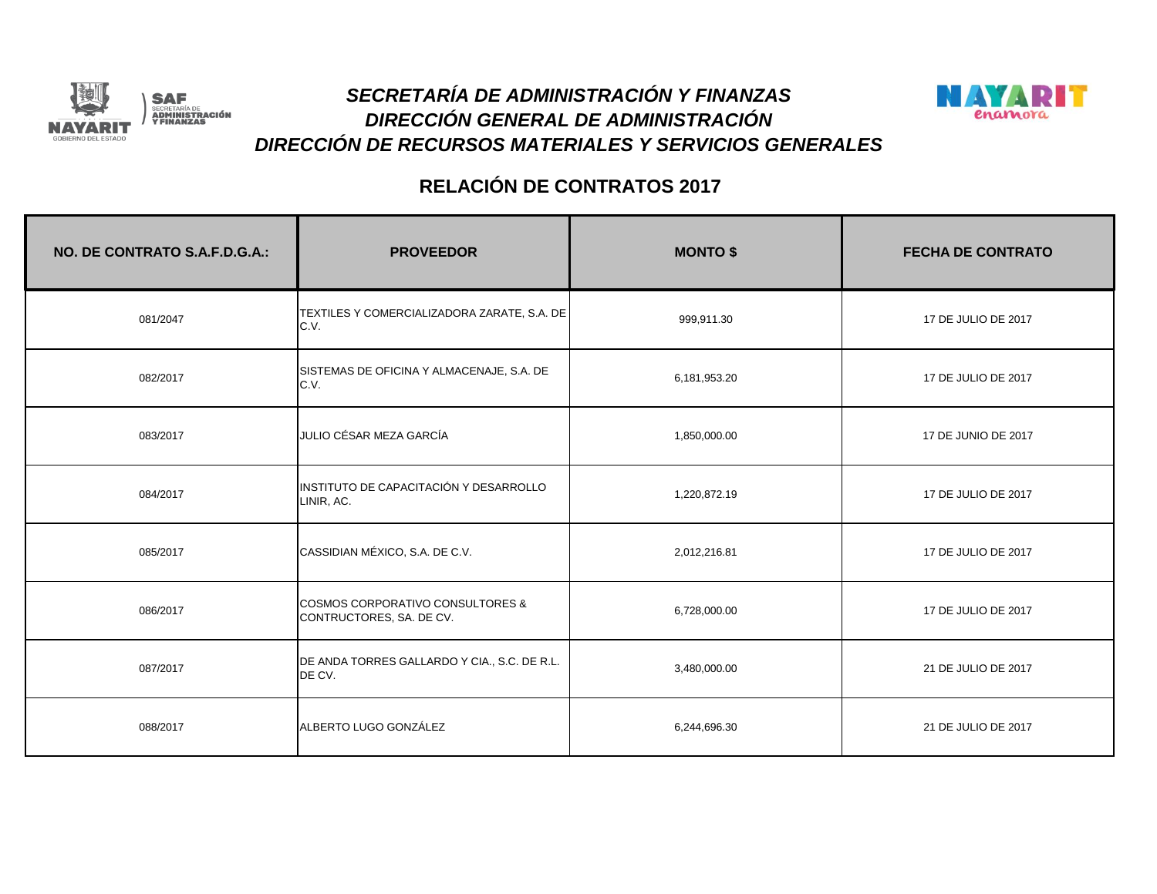



| NO. DE CONTRATO S.A.F.D.G.A.: | <b>PROVEEDOR</b>                                                        | <b>MONTO \$</b> | <b>FECHA DE CONTRATO</b> |
|-------------------------------|-------------------------------------------------------------------------|-----------------|--------------------------|
| 081/2047                      | TEXTILES Y COMERCIALIZADORA ZARATE, S.A. DE<br>C.V.                     | 999,911.30      | 17 DE JULIO DE 2017      |
| 082/2017                      | SISTEMAS DE OFICINA Y ALMACENAJE, S.A. DE<br>C.V.                       | 6,181,953.20    | 17 DE JULIO DE 2017      |
| 083/2017                      | JULIO CÉSAR MEZA GARCÍA                                                 | 1,850,000.00    | 17 DE JUNIO DE 2017      |
| 084/2017                      | INSTITUTO DE CAPACITACIÓN Y DESARROLLO<br>LINIR, AC.                    | 1,220,872.19    | 17 DE JULIO DE 2017      |
| 085/2017                      | CASSIDIAN MÉXICO, S.A. DE C.V.                                          | 2,012,216.81    | 17 DE JULIO DE 2017      |
| 086/2017                      | <b>COSMOS CORPORATIVO CONSULTORES &amp;</b><br>CONTRUCTORES, SA. DE CV. | 6,728,000.00    | 17 DE JULIO DE 2017      |
| 087/2017                      | DE ANDA TORRES GALLARDO Y CIA., S.C. DE R.L.<br>DE CV.                  | 3,480,000.00    | 21 DE JULIO DE 2017      |
| 088/2017                      | ALBERTO LUGO GONZÁLEZ                                                   | 6,244,696.30    | 21 DE JULIO DE 2017      |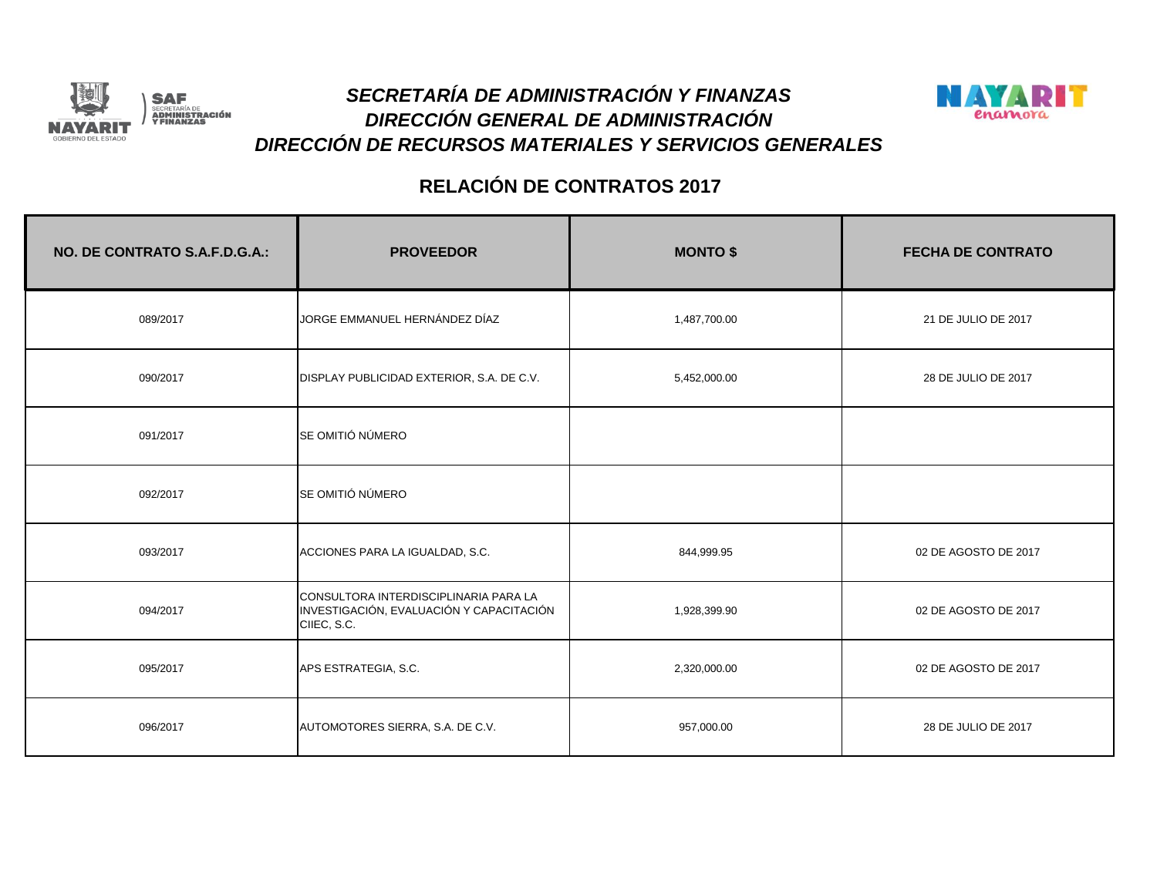



| NO. DE CONTRATO S.A.F.D.G.A.: | <b>PROVEEDOR</b>                                                                                 | <b>MONTO \$</b> | <b>FECHA DE CONTRATO</b> |
|-------------------------------|--------------------------------------------------------------------------------------------------|-----------------|--------------------------|
| 089/2017                      | JORGE EMMANUEL HERNÁNDEZ DÍAZ                                                                    | 1,487,700.00    | 21 DE JULIO DE 2017      |
| 090/2017                      | DISPLAY PUBLICIDAD EXTERIOR, S.A. DE C.V.                                                        | 5,452,000.00    | 28 DE JULIO DE 2017      |
| 091/2017                      | SE OMITIÓ NÚMERO                                                                                 |                 |                          |
| 092/2017                      | SE OMITIÓ NÚMERO                                                                                 |                 |                          |
| 093/2017                      | ACCIONES PARA LA IGUALDAD, S.C.                                                                  | 844,999.95      | 02 DE AGOSTO DE 2017     |
| 094/2017                      | CONSULTORA INTERDISCIPLINARIA PARA LA<br>INVESTIGACIÓN, EVALUACIÓN Y CAPACITACIÓN<br>CIIEC, S.C. | 1,928,399.90    | 02 DE AGOSTO DE 2017     |
| 095/2017                      | APS ESTRATEGIA, S.C.                                                                             | 2,320,000.00    | 02 DE AGOSTO DE 2017     |
| 096/2017                      | AUTOMOTORES SIERRA, S.A. DE C.V.                                                                 | 957,000.00      | 28 DE JULIO DE 2017      |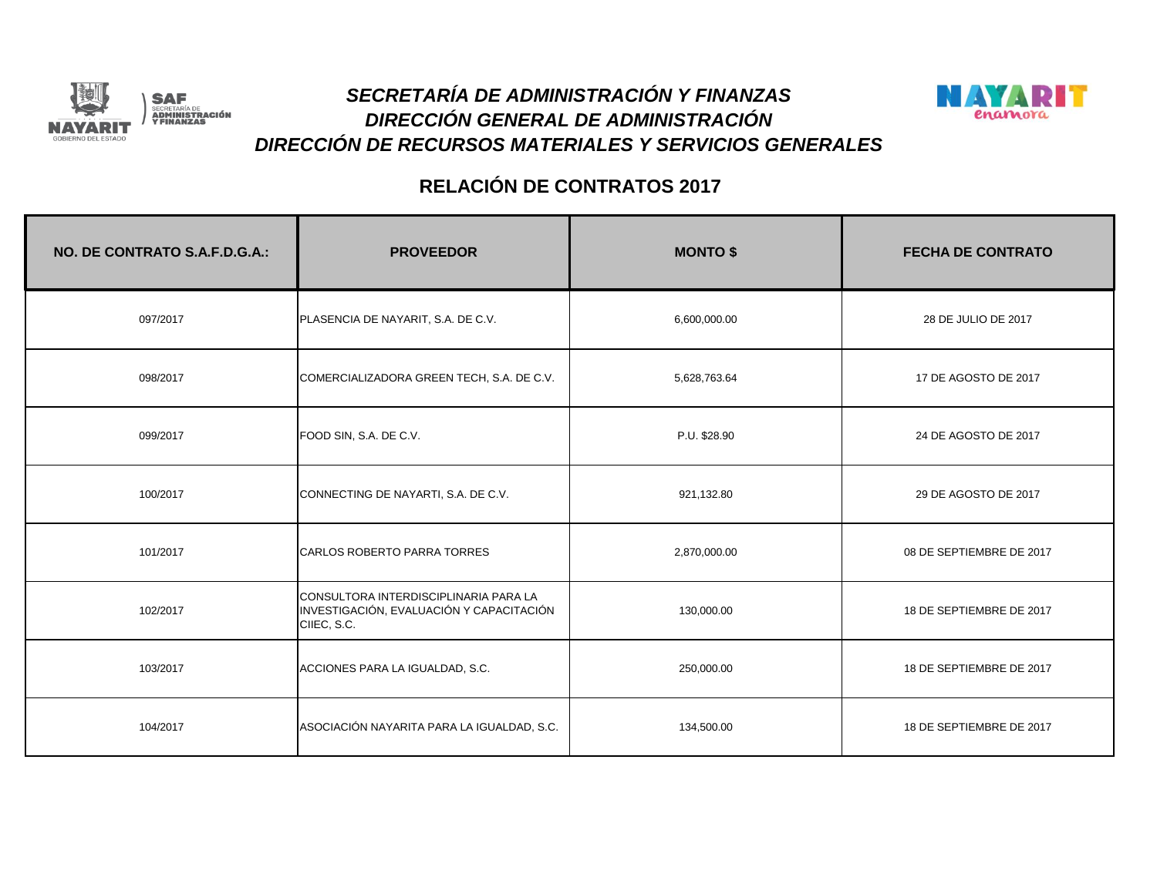



| NO. DE CONTRATO S.A.F.D.G.A.: | <b>PROVEEDOR</b>                                                                                 | <b>MONTO \$</b> | <b>FECHA DE CONTRATO</b> |
|-------------------------------|--------------------------------------------------------------------------------------------------|-----------------|--------------------------|
| 097/2017                      | PLASENCIA DE NAYARIT, S.A. DE C.V.                                                               | 6,600,000.00    | 28 DE JULIO DE 2017      |
| 098/2017                      | COMERCIALIZADORA GREEN TECH, S.A. DE C.V.                                                        | 5,628,763.64    | 17 DE AGOSTO DE 2017     |
| 099/2017                      | FOOD SIN, S.A. DE C.V.                                                                           | P.U. \$28.90    | 24 DE AGOSTO DE 2017     |
| 100/2017                      | CONNECTING DE NAYARTI, S.A. DE C.V.                                                              | 921,132.80      | 29 DE AGOSTO DE 2017     |
| 101/2017                      | CARLOS ROBERTO PARRA TORRES                                                                      | 2,870,000.00    | 08 DE SEPTIEMBRE DE 2017 |
| 102/2017                      | CONSULTORA INTERDISCIPLINARIA PARA LA<br>INVESTIGACIÓN, EVALUACIÓN Y CAPACITACIÓN<br>CIIEC, S.C. | 130,000.00      | 18 DE SEPTIEMBRE DE 2017 |
| 103/2017                      | ACCIONES PARA LA IGUALDAD, S.C.                                                                  | 250,000.00      | 18 DE SEPTIEMBRE DE 2017 |
| 104/2017                      | ASOCIACIÓN NAYARITA PARA LA IGUALDAD, S.C.                                                       | 134,500.00      | 18 DE SEPTIEMBRE DE 2017 |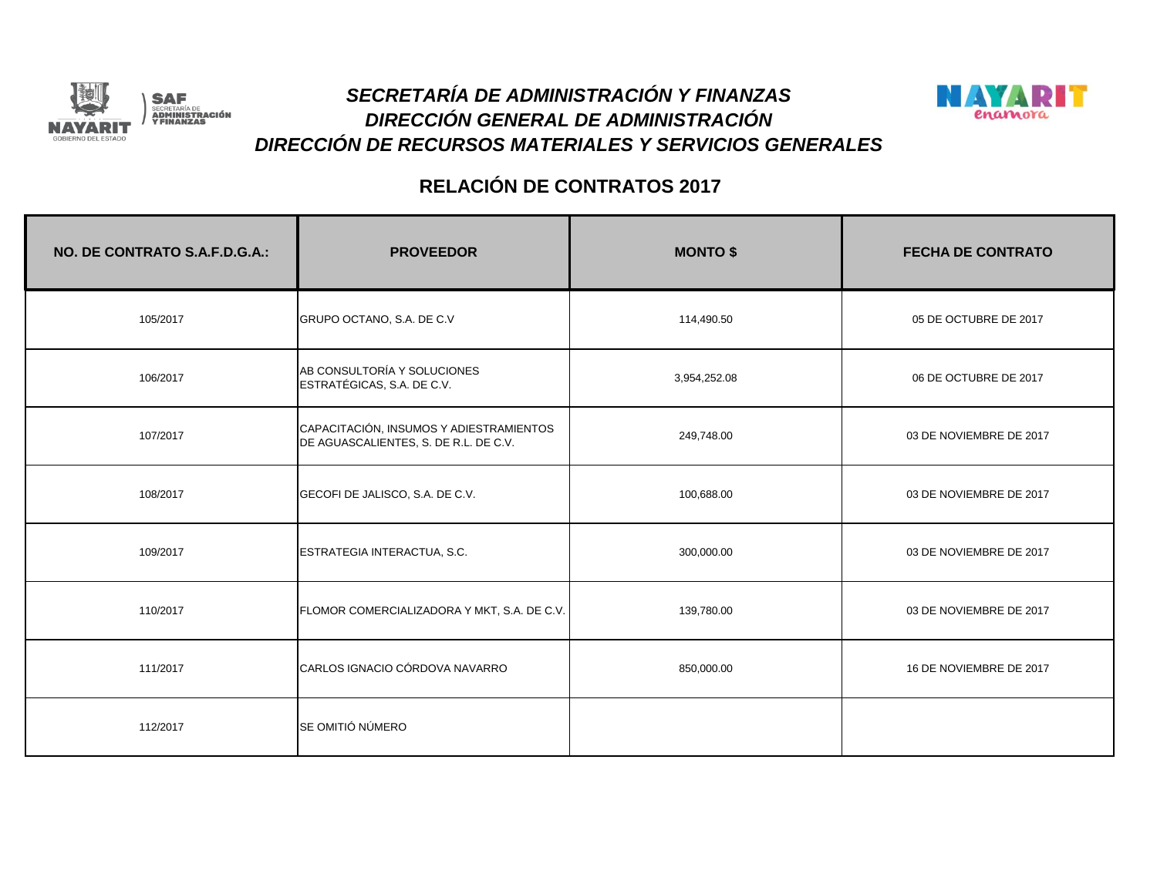



| NO. DE CONTRATO S.A.F.D.G.A.: | <b>PROVEEDOR</b>                                                                 | <b>MONTO \$</b> | <b>FECHA DE CONTRATO</b> |
|-------------------------------|----------------------------------------------------------------------------------|-----------------|--------------------------|
| 105/2017                      | GRUPO OCTANO, S.A. DE C.V                                                        | 114,490.50      | 05 DE OCTUBRE DE 2017    |
| 106/2017                      | AB CONSULTORÍA Y SOLUCIONES<br>ESTRATÉGICAS, S.A. DE C.V.                        | 3,954,252.08    | 06 DE OCTUBRE DE 2017    |
| 107/2017                      | CAPACITACIÓN, INSUMOS Y ADIESTRAMIENTOS<br>DE AGUASCALIENTES, S. DE R.L. DE C.V. | 249,748.00      | 03 DE NOVIEMBRE DE 2017  |
| 108/2017                      | GECOFI DE JALISCO, S.A. DE C.V.                                                  | 100,688.00      | 03 DE NOVIEMBRE DE 2017  |
| 109/2017                      | ESTRATEGIA INTERACTUA, S.C.                                                      | 300,000.00      | 03 DE NOVIEMBRE DE 2017  |
| 110/2017                      | FLOMOR COMERCIALIZADORA Y MKT, S.A. DE C.V.                                      | 139,780.00      | 03 DE NOVIEMBRE DE 2017  |
| 111/2017                      | CARLOS IGNACIO CÓRDOVA NAVARRO                                                   | 850,000.00      | 16 DE NOVIEMBRE DE 2017  |
| 112/2017                      | SE OMITIÓ NÚMERO                                                                 |                 |                          |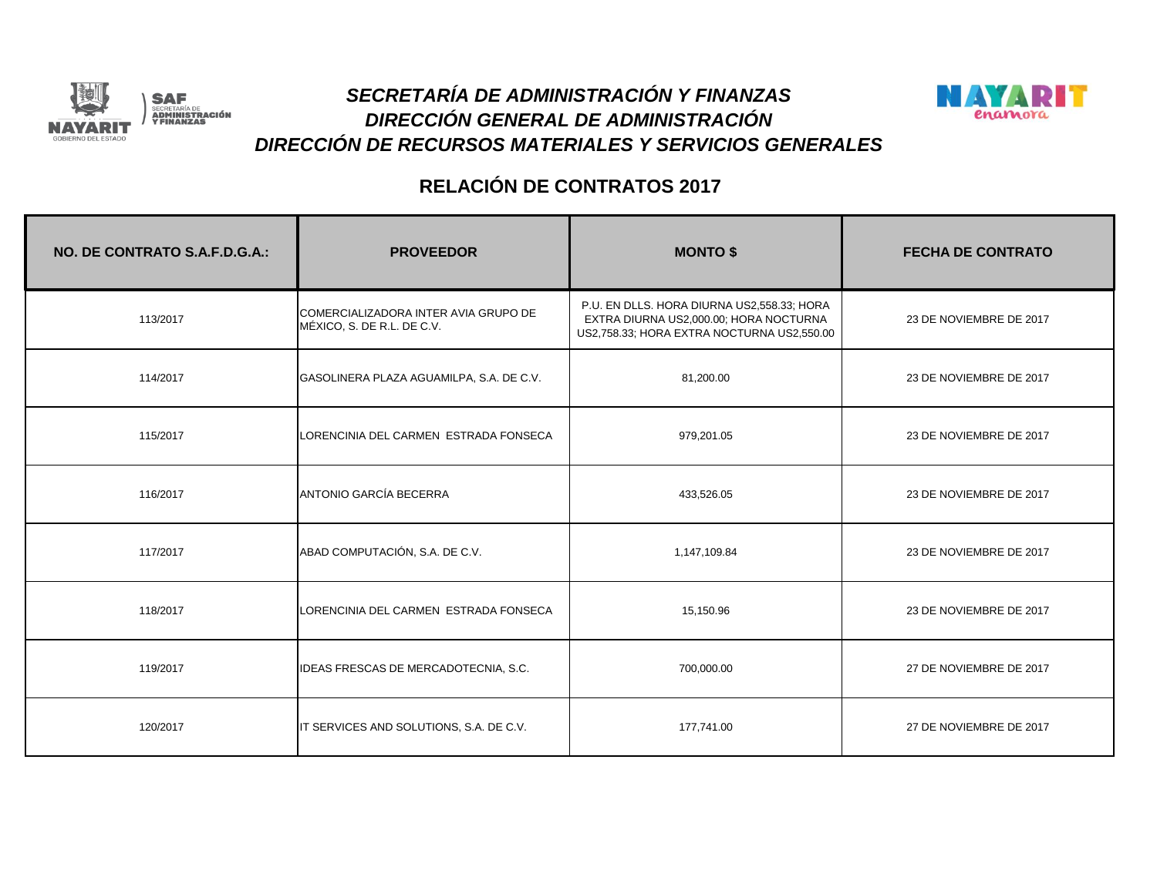



| NO. DE CONTRATO S.A.F.D.G.A.: | <b>PROVEEDOR</b>                                                   | <b>MONTO \$</b>                                                                                                                    | <b>FECHA DE CONTRATO</b> |
|-------------------------------|--------------------------------------------------------------------|------------------------------------------------------------------------------------------------------------------------------------|--------------------------|
| 113/2017                      | COMERCIALIZADORA INTER AVIA GRUPO DE<br>MÉXICO, S. DE R.L. DE C.V. | P.U. EN DLLS. HORA DIURNA US2,558.33; HORA<br>EXTRA DIURNA US2,000.00; HORA NOCTURNA<br>US2,758.33; HORA EXTRA NOCTURNA US2,550.00 | 23 DE NOVIEMBRE DE 2017  |
| 114/2017                      | GASOLINERA PLAZA AGUAMILPA, S.A. DE C.V.                           | 81,200.00                                                                                                                          | 23 DE NOVIEMBRE DE 2017  |
| 115/2017                      | LORENCINIA DEL CARMEN ESTRADA FONSECA                              | 979,201.05                                                                                                                         | 23 DE NOVIEMBRE DE 2017  |
| 116/2017                      | ANTONIO GARCÍA BECERRA                                             | 433,526.05                                                                                                                         | 23 DE NOVIEMBRE DE 2017  |
| 117/2017                      | ABAD COMPUTACIÓN, S.A. DE C.V.                                     | 1,147,109.84                                                                                                                       | 23 DE NOVIEMBRE DE 2017  |
| 118/2017                      | LORENCINIA DEL CARMEN ESTRADA FONSECA                              | 15,150.96                                                                                                                          | 23 DE NOVIEMBRE DE 2017  |
| 119/2017                      | IDEAS FRESCAS DE MERCADOTECNIA, S.C.                               | 700,000.00                                                                                                                         | 27 DE NOVIEMBRE DE 2017  |
| 120/2017                      | IT SERVICES AND SOLUTIONS, S.A. DE C.V.                            | 177,741.00                                                                                                                         | 27 DE NOVIEMBRE DE 2017  |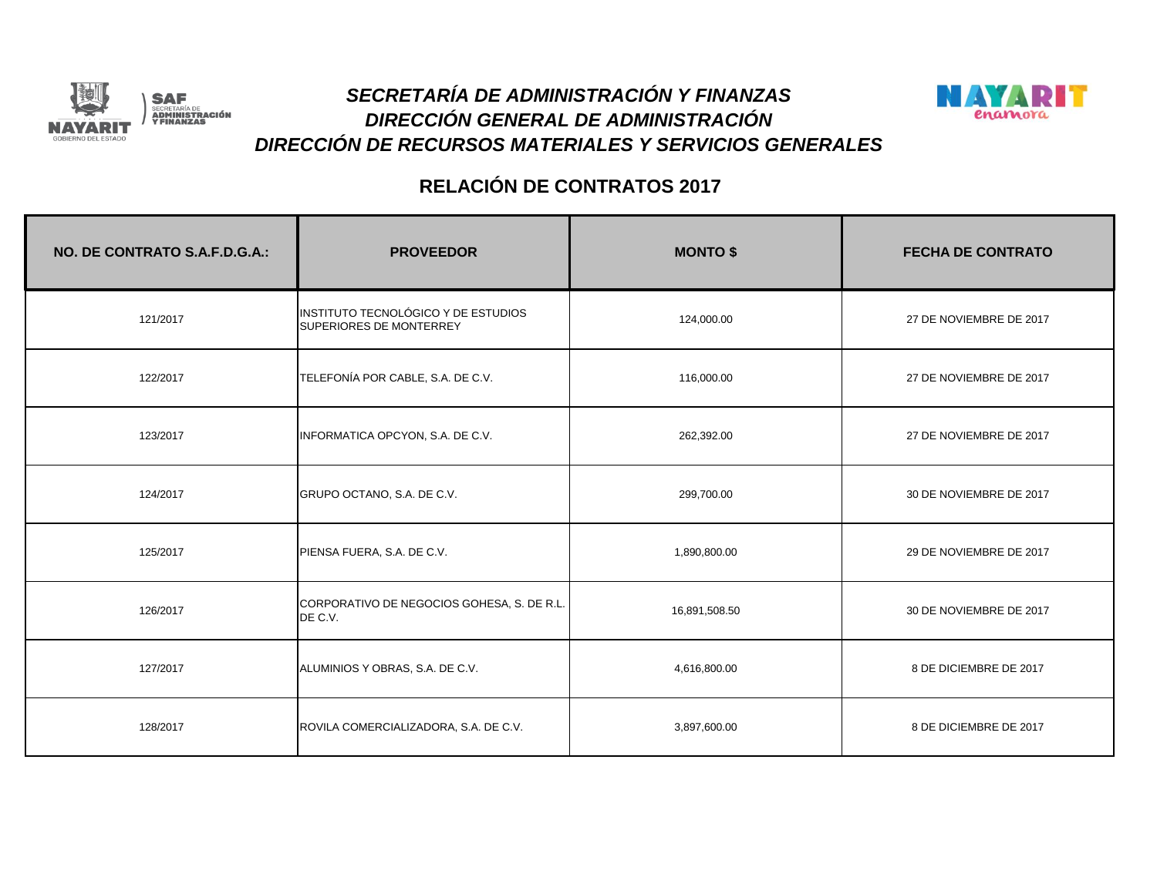



| NO. DE CONTRATO S.A.F.D.G.A.: | <b>PROVEEDOR</b>                                               | <b>MONTO \$</b> | <b>FECHA DE CONTRATO</b> |
|-------------------------------|----------------------------------------------------------------|-----------------|--------------------------|
| 121/2017                      | INSTITUTO TECNOLÓGICO Y DE ESTUDIOS<br>SUPERIORES DE MONTERREY | 124,000.00      | 27 DE NOVIEMBRE DE 2017  |
| 122/2017                      | TELEFONÍA POR CABLE, S.A. DE C.V.                              | 116,000.00      | 27 DE NOVIEMBRE DE 2017  |
| 123/2017                      | INFORMATICA OPCYON, S.A. DE C.V.                               | 262,392.00      | 27 DE NOVIEMBRE DE 2017  |
| 124/2017                      | GRUPO OCTANO, S.A. DE C.V.                                     | 299,700.00      | 30 DE NOVIEMBRE DE 2017  |
| 125/2017                      | PIENSA FUERA, S.A. DE C.V.                                     | 1,890,800.00    | 29 DE NOVIEMBRE DE 2017  |
| 126/2017                      | CORPORATIVO DE NEGOCIOS GOHESA, S. DE R.L.<br>DE C.V.          | 16,891,508.50   | 30 DE NOVIEMBRE DE 2017  |
| 127/2017                      | ALUMINIOS Y OBRAS, S.A. DE C.V.                                | 4,616,800.00    | 8 DE DICIEMBRE DE 2017   |
| 128/2017                      | ROVILA COMERCIALIZADORA, S.A. DE C.V.                          | 3,897,600.00    | 8 DE DICIEMBRE DE 2017   |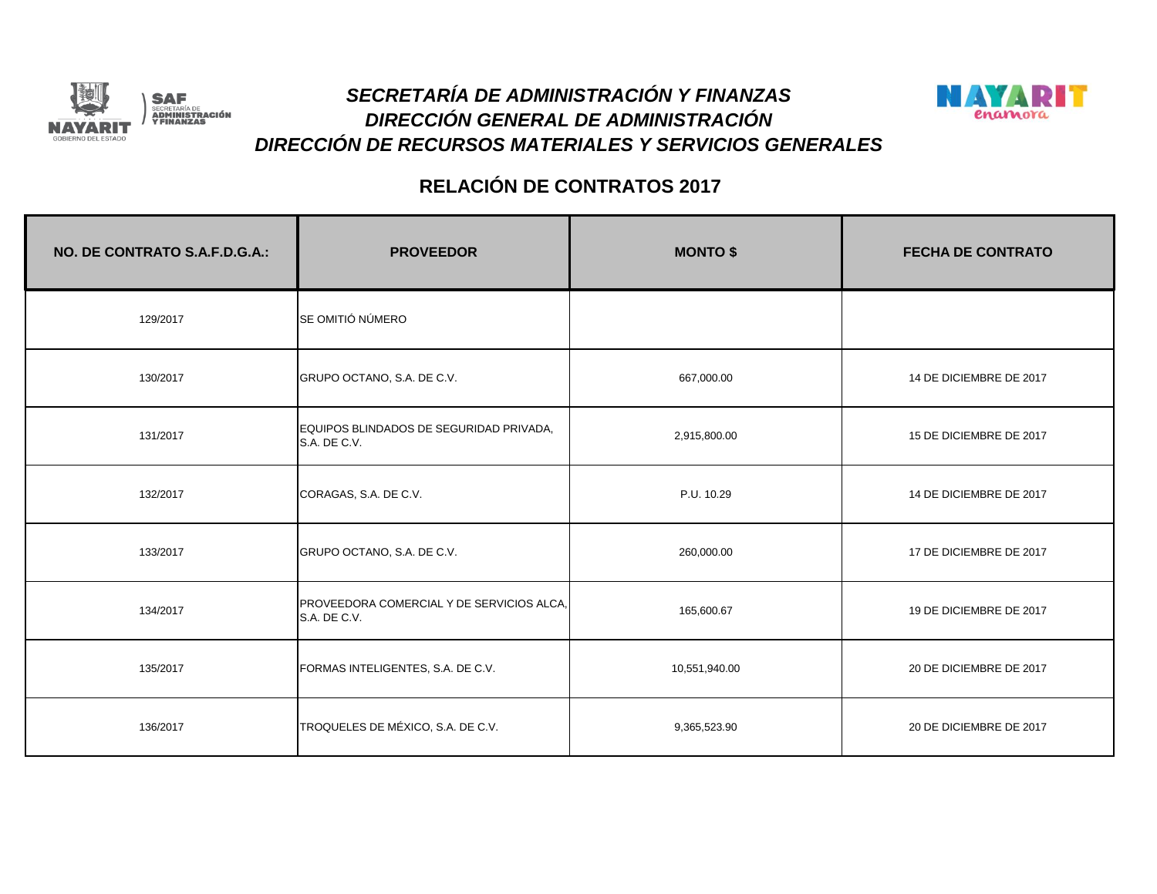



| NO. DE CONTRATO S.A.F.D.G.A.: | <b>PROVEEDOR</b>                                          | <b>MONTO \$</b> | <b>FECHA DE CONTRATO</b> |
|-------------------------------|-----------------------------------------------------------|-----------------|--------------------------|
| 129/2017                      | SE OMITIÓ NÚMERO                                          |                 |                          |
| 130/2017                      | GRUPO OCTANO, S.A. DE C.V.                                | 667,000.00      | 14 DE DICIEMBRE DE 2017  |
| 131/2017                      | EQUIPOS BLINDADOS DE SEGURIDAD PRIVADA,<br>S.A. DE C.V.   | 2,915,800.00    | 15 DE DICIEMBRE DE 2017  |
| 132/2017                      | CORAGAS, S.A. DE C.V.                                     | P.U. 10.29      | 14 DE DICIEMBRE DE 2017  |
| 133/2017                      | GRUPO OCTANO, S.A. DE C.V.                                | 260,000.00      | 17 DE DICIEMBRE DE 2017  |
| 134/2017                      | PROVEEDORA COMERCIAL Y DE SERVICIOS ALCA,<br>S.A. DE C.V. | 165,600.67      | 19 DE DICIEMBRE DE 2017  |
| 135/2017                      | FORMAS INTELIGENTES, S.A. DE C.V.                         | 10,551,940.00   | 20 DE DICIEMBRE DE 2017  |
| 136/2017                      | TROQUELES DE MÉXICO, S.A. DE C.V.                         | 9,365,523.90    | 20 DE DICIEMBRE DE 2017  |